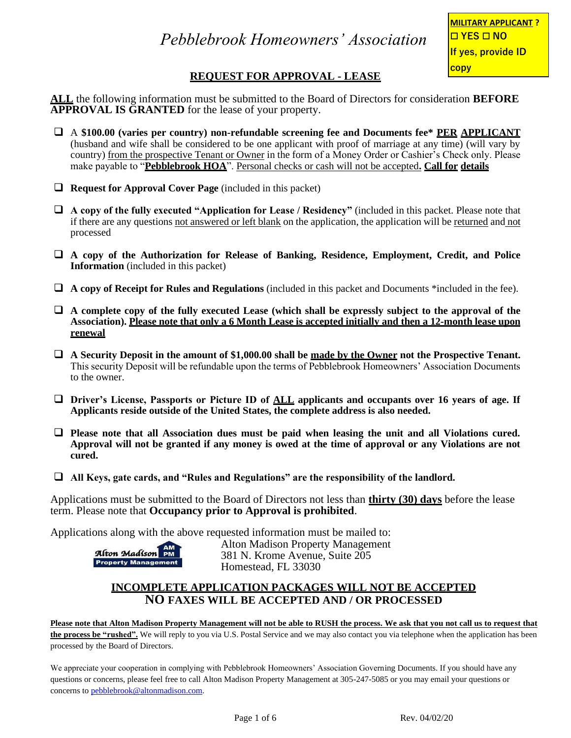## **REQUEST FOR APPROVAL - LEASE**

**ALL** the following information must be submitted to the Board of Directors for consideration **BEFORE APPROVAL IS GRANTED** for the lease of your property.

- ❑ A **\$100.00 (varies per country) non-refundable screening fee and Documents fee\* PER APPLICANT** (husband and wife shall be considered to be one applicant with proof of marriage at any time) (will vary by country) from the prospective Tenant or Owner in the form of a Money Order or Cashier's Check only. Please make payable to "**Pebblebrook HOA**". Personal checks or cash will not be accepted**. Call for details**
- ❑ **Request for Approval Cover Page** (included in this packet)
- ❑ **A copy of the fully executed "Application for Lease / Residency"** (included in this packet. Please note that if there are any questions not answered or left blank on the application, the application will be returned and not processed
- ❑ **A copy of the Authorization for Release of Banking, Residence, Employment, Credit, and Police Information** (included in this packet)
- ❑ **A copy of Receipt for Rules and Regulations** (included in this packet and Documents \*included in the fee).
- ❑ **A complete copy of the fully executed Lease (which shall be expressly subject to the approval of the Association). Please note that only a 6 Month Lease is accepted initially and then a 12-month lease upon renewal**
- ❑ **A Security Deposit in the amount of \$1,000.00 shall be made by the Owner not the Prospective Tenant.**  This security Deposit will be refundable upon the terms of Pebblebrook Homeowners' Association Documents to the owner.
- ❑ **Driver's License, Passports or Picture ID of ALL applicants and occupants over 16 years of age. If Applicants reside outside of the United States, the complete address is also needed.**
- □ Please note that all Association dues must be paid when leasing the unit and all Violations cured. **Approval will not be granted if any money is owed at the time of approval or any Violations are not cured.**
- ❑ **All Keys, gate cards, and "Rules and Regulations" are the responsibility of the landlord.**

Applications must be submitted to the Board of Directors not less than **thirty (30) days** before the lease term. Please note that **Occupancy prior to Approval is prohibited**.

Applications along with the above requested information must be mailed to:



Alton Madison Property Management 381 N. Krome Avenue, Suite 205 Homestead, FL 33030

#### **INCOMPLETE APPLICATION PACKAGES WILL NOT BE ACCEPTED NO FAXES WILL BE ACCEPTED AND / OR PROCESSED**

**Please note that Alton Madison Property Management will not be able to RUSH the process. We ask that you not call us to request that the process be "rushed".** We will reply to you via U.S. Postal Service and we may also contact you via telephone when the application has been processed by the Board of Directors.

We appreciate your cooperation in complying with Pebblebrook Homeowners' Association Governing Documents. If you should have any questions or concerns, please feel free to call Alton Madison Property Management at 305-247-5085 or you may email your questions or concerns t[o pebblebrook@altonmadison.com.](mailto:pebblebrook@altonmadison.com)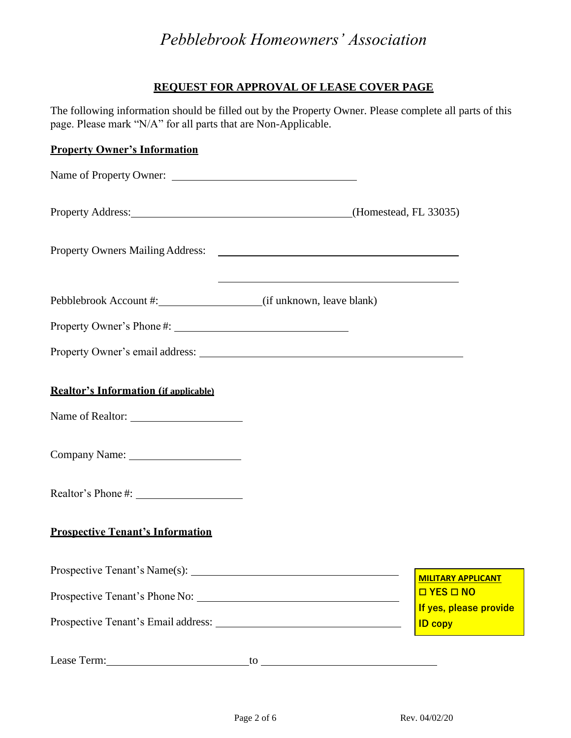## *Pebblebrook Homeowners' Association*

### **REQUEST FOR APPROVAL OF LEASE COVER PAGE**

The following information should be filled out by the Property Owner. Please complete all parts of this page. Please mark "N/A" for all parts that are Non-Applicable.

### **Property Owner's Information**

| Name of Property Owner:                          |                                              |  |
|--------------------------------------------------|----------------------------------------------|--|
| Property Address: (Homestead, FL 33035)          |                                              |  |
|                                                  |                                              |  |
| Pebblebrook Account #: (if unknown, leave blank) |                                              |  |
|                                                  |                                              |  |
|                                                  |                                              |  |
| <b>Realtor's Information (if applicable)</b>     |                                              |  |
|                                                  |                                              |  |
|                                                  |                                              |  |
| <b>Prospective Tenant's Information</b>          |                                              |  |
|                                                  |                                              |  |
|                                                  | <b>MILITARY APPLICANT</b><br><b>OYES ONO</b> |  |
|                                                  | If yes, please provide<br><b>ID copy</b>     |  |

Lease Term: \_\_\_\_\_\_\_\_\_\_\_\_\_\_\_\_\_\_\_\_\_\_\_\_\_\_\_\_\_to \_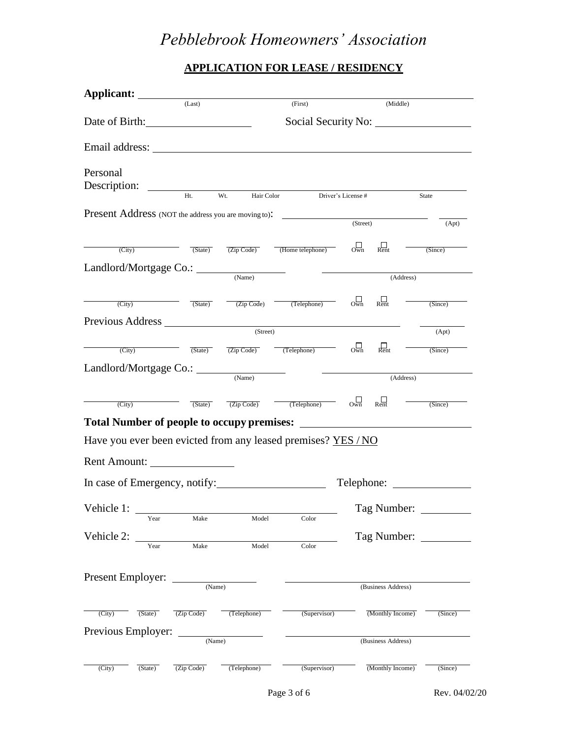# *Pebblebrook Homeowners' Association*

## **APPLICATION FOR LEASE / RESIDENCY**

| Applicant:                                                                                                                                                                                                                                 |                |                                                  |                                          |                     |                         |          |  |
|--------------------------------------------------------------------------------------------------------------------------------------------------------------------------------------------------------------------------------------------|----------------|--------------------------------------------------|------------------------------------------|---------------------|-------------------------|----------|--|
|                                                                                                                                                                                                                                            | (Last)         |                                                  | (First)                                  |                     |                         | (Middle) |  |
|                                                                                                                                                                                                                                            | Date of Birth: |                                                  |                                          | Social Security No: |                         |          |  |
| Email address:                                                                                                                                                                                                                             |                |                                                  |                                          |                     |                         |          |  |
| Personal<br>Description:                                                                                                                                                                                                                   |                |                                                  |                                          |                     |                         |          |  |
|                                                                                                                                                                                                                                            | Ht.            | Wt.<br>Hair Color                                |                                          | Driver's License #  |                         | State    |  |
| Present Address (NOT the address you are moving to):                                                                                                                                                                                       |                |                                                  |                                          | (Street)            |                         |          |  |
|                                                                                                                                                                                                                                            |                |                                                  |                                          |                     |                         | (Apt)    |  |
| (City)                                                                                                                                                                                                                                     | (State)        |                                                  | $\overline{(Zip Code)}$ (Home telephone) | $\Box$              | $\Box$ Rent             | (Since)  |  |
| Landlord/Mortgage Co.: ____                                                                                                                                                                                                                |                |                                                  |                                          |                     |                         |          |  |
|                                                                                                                                                                                                                                            |                | (Name)                                           |                                          |                     | (Address)               |          |  |
| (City)                                                                                                                                                                                                                                     | (State)        | (Zip Code)                                       | (Telephone)                              | $O_{Wn}$            | $R_{\text{ent}}$        | (Since)  |  |
| Previous Address                                                                                                                                                                                                                           |                |                                                  |                                          |                     |                         |          |  |
|                                                                                                                                                                                                                                            |                | (Street)                                         |                                          |                     |                         | (Apt)    |  |
| (City)                                                                                                                                                                                                                                     | (State)        | $\overline{(Zip Code)}$ $\overline{(Telephone)}$ |                                          | $O_{Wn}$            | $\frac{1}{\text{Rent}}$ | (Since)  |  |
|                                                                                                                                                                                                                                            |                |                                                  |                                          |                     |                         |          |  |
|                                                                                                                                                                                                                                            |                | (Name)                                           | (Address)                                |                     |                         |          |  |
|                                                                                                                                                                                                                                            |                |                                                  |                                          |                     |                         |          |  |
| (City)                                                                                                                                                                                                                                     |                | (Zip Code)                                       |                                          | $O_{Wn}$            | $R_{\text{ent}}$        | (Since)  |  |
|                                                                                                                                                                                                                                            | (State)        |                                                  | (Telephone)                              |                     |                         |          |  |
|                                                                                                                                                                                                                                            |                |                                                  |                                          |                     |                         |          |  |
|                                                                                                                                                                                                                                            |                |                                                  |                                          |                     |                         |          |  |
|                                                                                                                                                                                                                                            |                |                                                  |                                          |                     |                         |          |  |
|                                                                                                                                                                                                                                            |                |                                                  |                                          | Telephone:          |                         |          |  |
|                                                                                                                                                                                                                                            |                |                                                  |                                          |                     |                         |          |  |
| Year                                                                                                                                                                                                                                       | Make           | Model                                            | Color                                    |                     | Tag Number: _           |          |  |
|                                                                                                                                                                                                                                            |                |                                                  |                                          |                     |                         |          |  |
| Year                                                                                                                                                                                                                                       | Make           | Model                                            | Color                                    |                     | Tag Number:             |          |  |
|                                                                                                                                                                                                                                            |                |                                                  |                                          |                     |                         |          |  |
|                                                                                                                                                                                                                                            | (Name)         |                                                  |                                          |                     | (Business Address)      |          |  |
| (City)<br>(State)                                                                                                                                                                                                                          | (Zip Code)     | (Telephone)                                      | (Supervisor)                             |                     | (Monthly Income)        | (Since)  |  |
|                                                                                                                                                                                                                                            |                |                                                  |                                          |                     |                         |          |  |
| <b>Total Number of people to occupy premises:</b><br>Have you ever been evicted from any leased premises? YES / NO<br>Rent Amount:<br>In case of Emergency, notify:<br>Vehicle 1:<br>Vehicle 2:<br>Present Employer:<br>Previous Employer: | (Name)         |                                                  |                                          |                     | (Business Address)      |          |  |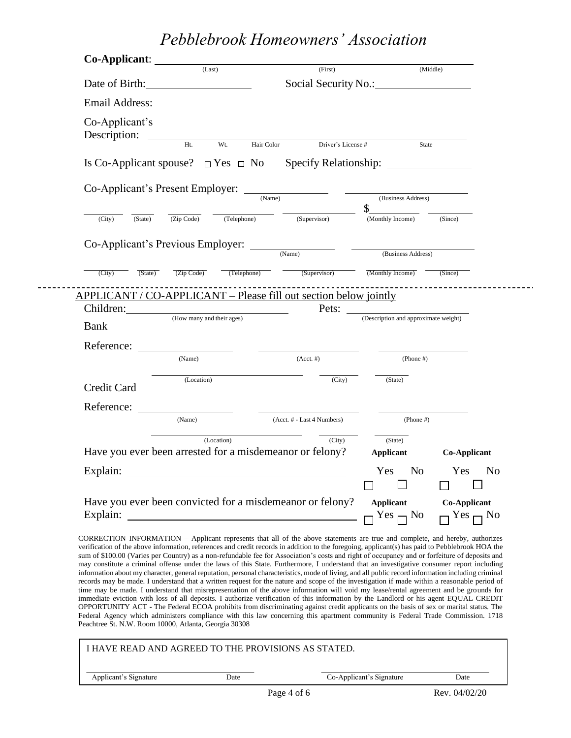*Pebblebrook Homeowners' Association*

|                                                                                                 |            | (Last)      | (First)                                                                                                                                                                                                                       |                                      | (Middle)              |
|-------------------------------------------------------------------------------------------------|------------|-------------|-------------------------------------------------------------------------------------------------------------------------------------------------------------------------------------------------------------------------------|--------------------------------------|-----------------------|
| Date of Birth:                                                                                  |            |             |                                                                                                                                                                                                                               | Social Security No.:                 |                       |
|                                                                                                 |            |             | Email Address: The Second Second Second Second Second Second Second Second Second Second Second Second Second Second Second Second Second Second Second Second Second Second Second Second Second Second Second Second Second |                                      |                       |
| Co-Applicant's<br>Description:                                                                  | $Ht$ .     | $Wt$ .      | Hair Color Driver's License #                                                                                                                                                                                                 |                                      |                       |
|                                                                                                 |            |             |                                                                                                                                                                                                                               |                                      | State                 |
|                                                                                                 |            |             | Is Co-Applicant spouse? $\Box$ Yes $\Box$ No Specify Relationship:                                                                                                                                                            |                                      |                       |
| Co-Applicant's Present Employer: <u>COMANNELL</u>                                               |            |             |                                                                                                                                                                                                                               |                                      |                       |
|                                                                                                 |            |             |                                                                                                                                                                                                                               | (Business Address)<br>\$             |                       |
| (State)<br>(City)                                                                               | (Zip Code) | (Telephone) | (Supervisor)                                                                                                                                                                                                                  | (Monthly Income)                     | (Since)               |
|                                                                                                 |            |             | Co-Applicant's Previous Employer:                                                                                                                                                                                             |                                      |                       |
|                                                                                                 |            |             | (Name)                                                                                                                                                                                                                        | (Business Address)                   |                       |
| (State)<br>(City)                                                                               | (Zip Code) |             | (Telephone) (Supervisor)                                                                                                                                                                                                      | (Monthly Income)                     | (Since)               |
|                                                                                                 |            |             |                                                                                                                                                                                                                               |                                      |                       |
|                                                                                                 |            |             |                                                                                                                                                                                                                               |                                      |                       |
|                                                                                                 |            |             | APPLICANT / CO-APPLICANT – Please fill out section below jointly                                                                                                                                                              |                                      |                       |
|                                                                                                 |            |             | Pets: $\_\_$                                                                                                                                                                                                                  | (Description and approximate weight) |                       |
|                                                                                                 |            |             |                                                                                                                                                                                                                               |                                      |                       |
|                                                                                                 | (Name)     |             | $(Acct. \#)$                                                                                                                                                                                                                  | $(Phone \#)$                         |                       |
|                                                                                                 | (Location) |             | $\overline{(City)}$                                                                                                                                                                                                           | (State)                              |                       |
|                                                                                                 |            |             |                                                                                                                                                                                                                               |                                      |                       |
|                                                                                                 | (Name)     |             | (Acct. # - Last 4 Numbers)                                                                                                                                                                                                    | $(Phone \#)$                         |                       |
|                                                                                                 |            | (Location)  | (City)                                                                                                                                                                                                                        | (State)                              |                       |
|                                                                                                 |            |             | Have you ever been arrested for a misdemeanor or felony?                                                                                                                                                                      | Applicant                            | <b>Co-Applicant</b>   |
|                                                                                                 |            |             |                                                                                                                                                                                                                               | Yes<br>No                            | Yes<br>N <sub>o</sub> |
| Children: (How many and their ages)<br><b>Bank</b><br>Reference:<br>Credit Card<br>Reference: _ |            |             | Have you ever been convicted for a misdemeanor or felony?                                                                                                                                                                     | <b>Applicant</b>                     | Co-Applicant          |

CORRECTION INFORMATION – Applicant represents that all of the above statements are true and complete, and hereby, authorizes verification of the above information, references and credit records in addition to the foregoing, applicant(s) has paid to Pebblebrook HOA the sum of \$100.00 (Varies per Country) as a non-refundable fee for Association's costs and right of occupancy and or forfeiture of deposits and may constitute a criminal offense under the laws of this State. Furthermore, I understand that an investigative consumer report including information about my character, general reputation, personal characteristics, mode of living, and all public record information including criminal records may be made. I understand that a written request for the nature and scope of the investigation if made within a reasonable period of time may be made. I understand that misrepresentation of the above information will void my lease/rental agreement and be grounds for immediate eviction with loss of all deposits. I authorize verification of this information by the Landlord or his agent EQUAL CREDIT OPPORTUNITY ACT - The Federal ECOA prohibits from discriminating against credit applicants on the basis of sex or marital status. The Federal Agency which administers compliance with this law concerning this apartment community is Federal Trade Commission. 1718 Peachtree St. N.W. Room 10000, Atlanta, Georgia 30308

| I HAVE READ AND AGREED TO THE PROVISIONS AS STATED. |      |             |                          |               |
|-----------------------------------------------------|------|-------------|--------------------------|---------------|
| Applicant's Signature                               | Date |             | Co-Applicant's Signature | Date          |
|                                                     |      | Page 4 of 6 |                          | Rev. 04/02/20 |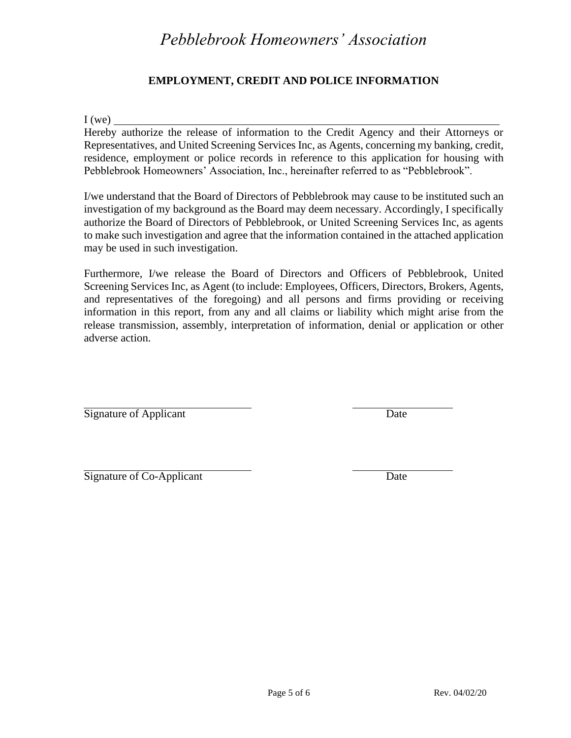## *Pebblebrook Homeowners' Association*

#### **EMPLOYMENT, CREDIT AND POLICE INFORMATION**

 $I(we)$ 

Hereby authorize the release of information to the Credit Agency and their Attorneys or Representatives, and United Screening Services Inc, as Agents, concerning my banking, credit, residence, employment or police records in reference to this application for housing with Pebblebrook Homeowners' Association, Inc., hereinafter referred to as "Pebblebrook".

I/we understand that the Board of Directors of Pebblebrook may cause to be instituted such an investigation of my background as the Board may deem necessary. Accordingly, I specifically authorize the Board of Directors of Pebblebrook, or United Screening Services Inc, as agents to make such investigation and agree that the information contained in the attached application may be used in such investigation.

Furthermore, I/we release the Board of Directors and Officers of Pebblebrook, United Screening Services Inc, as Agent (to include: Employees, Officers, Directors, Brokers, Agents, and representatives of the foregoing) and all persons and firms providing or receiving information in this report, from any and all claims or liability which might arise from the release transmission, assembly, interpretation of information, denial or application or other adverse action.

Signature of Applicant Date

Signature of Co-Applicant Date